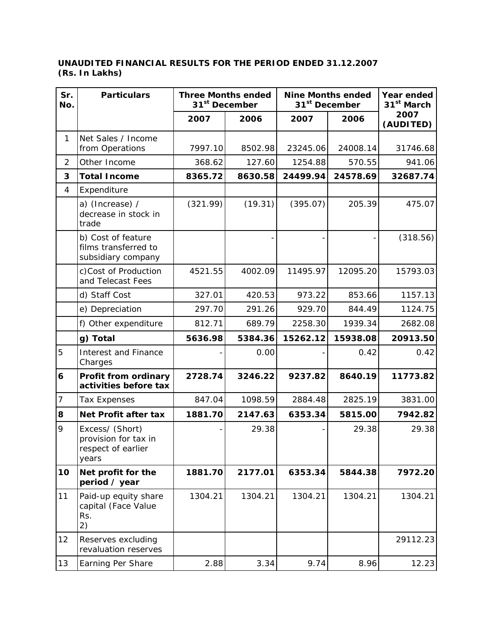## **UNAUDITED FINANCIAL RESULTS FOR THE PERIOD ENDED 31.12.2007 (Rs. In Lakhs)**

| Sr.<br>No.     | <b>Particulars</b>                                                     | <b>Three Months ended</b><br>31 <sup>st</sup> December |         | <b>Nine Months ended</b><br>31 <sup>st</sup> December |          | Year ended<br>31 <sup>st</sup> March |
|----------------|------------------------------------------------------------------------|--------------------------------------------------------|---------|-------------------------------------------------------|----------|--------------------------------------|
|                |                                                                        | 2007                                                   | 2006    | 2007                                                  | 2006     | 2007<br>(AUDITED)                    |
| $\mathbf{1}$   | Net Sales / Income<br>from Operations                                  | 7997.10                                                | 8502.98 | 23245.06                                              | 24008.14 | 31746.68                             |
| $\overline{2}$ | Other Income                                                           | 368.62                                                 | 127.60  | 1254.88                                               | 570.55   | 941.06                               |
| 3              | <b>Total Income</b>                                                    | 8365.72                                                | 8630.58 | 24499.94                                              | 24578.69 | 32687.74                             |
| 4              | Expenditure                                                            |                                                        |         |                                                       |          |                                      |
|                | a) (Increase) /<br>decrease in stock in<br>trade                       | (321.99)                                               | (19.31) | (395.07)                                              | 205.39   | 475.07                               |
|                | b) Cost of feature<br>films transferred to<br>subsidiary company       |                                                        |         |                                                       |          | (318.56)                             |
|                | c)Cost of Production<br>and Telecast Fees                              | 4521.55                                                | 4002.09 | 11495.97                                              | 12095.20 | 15793.03                             |
|                | d) Staff Cost                                                          | 327.01                                                 | 420.53  | 973.22                                                | 853.66   | 1157.13                              |
|                | e) Depreciation                                                        | 297.70                                                 | 291.26  | 929.70                                                | 844.49   | 1124.75                              |
|                | f) Other expenditure                                                   | 812.71                                                 | 689.79  | 2258.30                                               | 1939.34  | 2682.08                              |
|                | g) Total                                                               | 5636.98                                                | 5384.36 | 15262.12                                              | 15938.08 | 20913.50                             |
| 5              | <b>Interest and Finance</b><br>Charges                                 |                                                        | 0.00    |                                                       | 0.42     | 0.42                                 |
| 6              | Profit from ordinary<br>activities before tax                          | 2728.74                                                | 3246.22 | 9237.82                                               | 8640.19  | 11773.82                             |
| 7              | <b>Tax Expenses</b>                                                    | 847.04                                                 | 1098.59 | 2884.48                                               | 2825.19  | 3831.00                              |
| 8              | Net Profit after tax                                                   | 1881.70                                                | 2147.63 | 6353.34                                               | 5815.00  | 7942.82                              |
| 9              | Excess/ (Short)<br>provision for tax in<br>respect of earlier<br>years |                                                        | 29.38   |                                                       | 29.38    | 29.38                                |
| 10             | Net profit for the<br>period / year                                    | 1881.70                                                | 2177.01 | 6353.34                                               | 5844.38  | 7972.20                              |
| 11             | Paid-up equity share<br>capital (Face Value<br>Rs.<br>2)               | 1304.21                                                | 1304.21 | 1304.21                                               | 1304.21  | 1304.21                              |
| 12             | Reserves excluding<br>revaluation reserves                             |                                                        |         |                                                       |          | 29112.23                             |
| 13             | Earning Per Share                                                      | 2.88                                                   | 3.34    | 9.74                                                  | 8.96     | 12.23                                |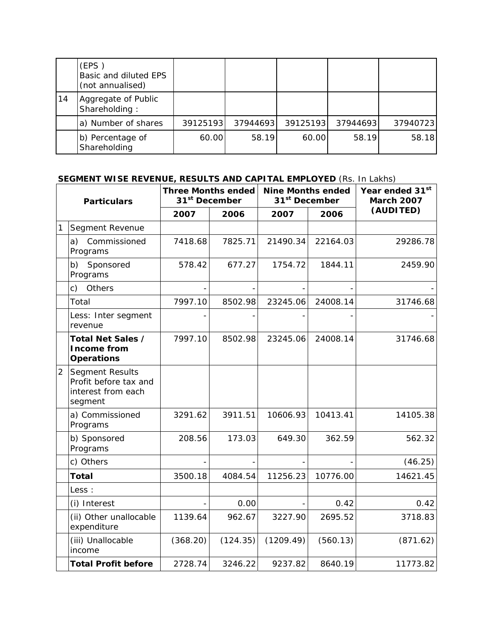|    | (EPS)<br>Basic and diluted EPS<br>(not annualised) |          |          |          |          |          |
|----|----------------------------------------------------|----------|----------|----------|----------|----------|
| 14 | Aggregate of Public<br>Shareholding:               |          |          |          |          |          |
|    | a) Number of shares                                | 39125193 | 37944693 | 39125193 | 37944693 | 37940723 |
|    | b) Percentage of<br>Shareholding                   | 60.00    | 58.19    | 60.00    | 58.19    | 58.18    |

## **SEGMENT WISE REVENUE, RESULTS AND CAPITAL EMPLOYED** (Rs. In Lakhs)

| <b>Particulars</b> |                                                                                  | <b>Three Months ended</b><br>31 <sup>st</sup> December |          | <b>Nine Months ended</b><br>31 <sup>st</sup> December |          | Year ended 31st<br><b>March 2007</b> |
|--------------------|----------------------------------------------------------------------------------|--------------------------------------------------------|----------|-------------------------------------------------------|----------|--------------------------------------|
|                    |                                                                                  | 2007                                                   | 2006     | 2007                                                  | 2006     | (AUDITED)                            |
| 1                  | Segment Revenue                                                                  |                                                        |          |                                                       |          |                                      |
|                    | Commissioned<br>a)<br>Programs                                                   | 7418.68                                                | 7825.71  | 21490.34                                              | 22164.03 | 29286.78                             |
|                    | b) Sponsored<br>Programs                                                         | 578.42                                                 | 677.27   | 1754.72                                               | 1844.11  | 2459.90                              |
|                    | Others<br>$\mathsf{c})$                                                          |                                                        |          |                                                       |          |                                      |
|                    | Total                                                                            | 7997.10                                                | 8502.98  | 23245.06                                              | 24008.14 | 31746.68                             |
|                    | Less: Inter segment<br>revenue                                                   |                                                        |          |                                                       |          |                                      |
|                    | Total Net Sales /<br><b>Income from</b><br><b>Operations</b>                     | 7997.10                                                | 8502.98  | 23245.06                                              | 24008.14 | 31746.68                             |
| $\overline{2}$     | <b>Segment Results</b><br>Profit before tax and<br>interest from each<br>segment |                                                        |          |                                                       |          |                                      |
|                    | a) Commissioned<br>Programs                                                      | 3291.62                                                | 3911.51  | 10606.93                                              | 10413.41 | 14105.38                             |
|                    | b) Sponsored<br>Programs                                                         | 208.56                                                 | 173.03   | 649.30                                                | 362.59   | 562.32                               |
|                    | c) Others                                                                        |                                                        |          |                                                       |          | (46.25)                              |
|                    | <b>Total</b>                                                                     | 3500.18                                                | 4084.54  | 11256.23                                              | 10776.00 | 14621.45                             |
|                    | Less :                                                                           |                                                        |          |                                                       |          |                                      |
|                    | (i) Interest                                                                     |                                                        | 0.00     |                                                       | 0.42     | 0.42                                 |
|                    | (ii) Other unallocable<br>expenditure                                            | 1139.64                                                | 962.67   | 3227.90                                               | 2695.52  | 3718.83                              |
|                    | (iii) Unallocable<br>income                                                      | (368.20)                                               | (124.35) | (1209.49)                                             | (560.13) | (871.62)                             |
|                    | <b>Total Profit before</b>                                                       | 2728.74                                                | 3246.22  | 9237.82                                               | 8640.19  | 11773.82                             |